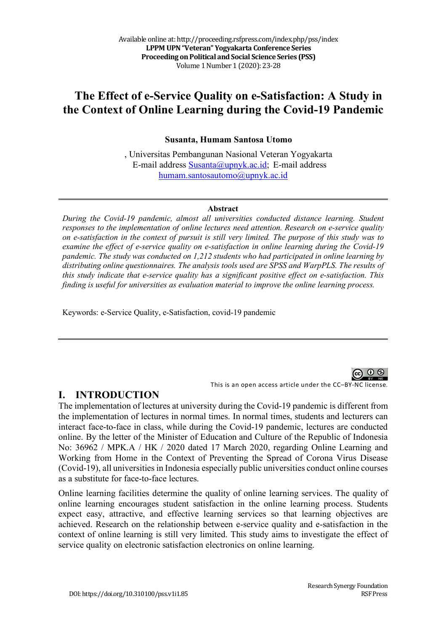# **The Effect of e-Service Quality on e-Satisfaction: A Study in the Context of Online Learning during the Covid-19 Pandemic**

#### **Susanta, Humam Santosa Utomo**

, Universitas Pembangunan Nasional Veteran Yogyakarta E-mail address Susanta@upnyk.ac.id; E-mail address humam.santosautomo@upnyk.ac.id

#### **Abstract**

*During the Covid-19 pandemic, almost all universities conducted distance learning. Student responses to the implementation of online lectures need attention. Research on e-service quality on e-satisfaction in the context of pursuit is still very limited. The purpose of this study was to examine the effect of e-service quality on e-satisfaction in online learning during the Covid-19 pandemic. The study was conducted on 1,212 students who had participated in online learning by distributing online questionnaires. The analysis tools used are SPSS and WarpPLS. The results of this study indicate that e-service quality has a significant positive effect on e-satisfaction. This finding is useful for universities as evaluation material to improve the online learning process.*

Keywords: e-Service Quality, e-Satisfaction, covid-19 pandemic

This is an open access article under the CC–BY-NC license.

### **I. INTRODUCTION**

The implementation of lectures at university during the Covid-19 pandemic is different from the implementation of lectures in normal times. In normal times, students and lecturers can interact face-to-face in class, while during the Covid-19 pandemic, lectures are conducted online. By the letter of the Minister of Education and Culture of the Republic of Indonesia No: 36962 / MPK.A / HK / 2020 dated 17 March 2020, regarding Online Learning and Working from Home in the Context of Preventing the Spread of Corona Virus Disease (Covid-19), all universities in Indonesia especially public universities conduct online courses as a substitute for face-to-face lectures.

Online learning facilities determine the quality of online learning services. The quality of online learning encourages student satisfaction in the online learning process. Students expect easy, attractive, and effective learning services so that learning objectives are achieved. Research on the relationship between e-service quality and e-satisfaction in the context of online learning is still very limited. This study aims to investigate the effect of service quality on electronic satisfaction electronics on online learning.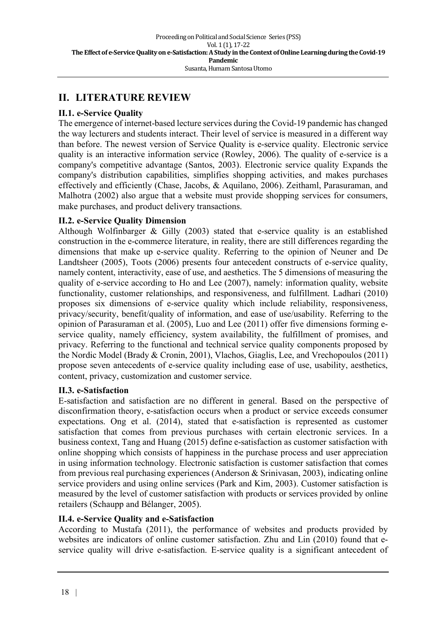### **II. LITERATURE REVIEW**

### **II.1. e-Service Quality**

The emergence of internet-based lecture services during the Covid-19 pandemic has changed the way lecturers and students interact. Their level of service is measured in a different way than before. The newest version of Service Quality is e-service quality. Electronic service quality is an interactive information service (Rowley, 2006). The quality of e-service is a company's competitive advantage (Santos, 2003). Electronic service quality Expands the company's distribution capabilities, simplifies shopping activities, and makes purchases effectively and efficiently (Chase, Jacobs, & Aquilano, 2006). Zeithaml, Parasuraman, and Malhotra (2002) also argue that a website must provide shopping services for consumers, make purchases, and product delivery transactions.

#### **II.2. e-Service Quality Dimension**

Although Wolfinbarger & Gilly (2003) stated that e-service quality is an established construction in the e-commerce literature, in reality, there are still differences regarding the dimensions that make up e-service quality. Referring to the opinion of Neuner and De Landtsheer (2005), Toots (2006) presents four antecedent constructs of e-service quality, namely content, interactivity, ease of use, and aesthetics. The 5 dimensions of measuring the quality of e-service according to Ho and Lee (2007), namely: information quality, website functionality, customer relationships, and responsiveness, and fulfillment. Ladhari (2010) proposes six dimensions of e-service quality which include reliability, responsiveness, privacy/security, benefit/quality of information, and ease of use/usability. Referring to the opinion of Parasuraman et al. (2005), Luo and Lee (2011) offer five dimensions forming eservice quality, namely efficiency, system availability, the fulfillment of promises, and privacy. Referring to the functional and technical service quality components proposed by the Nordic Model (Brady & Cronin, 2001), Vlachos, Giaglis, Lee, and Vrechopoulos (2011) propose seven antecedents of e-service quality including ease of use, usability, aesthetics, content, privacy, customization and customer service.

#### **II.3. e-Satisfaction**

E-satisfaction and satisfaction are no different in general. Based on the perspective of disconfirmation theory, e-satisfaction occurs when a product or service exceeds consumer expectations. Ong et al. (2014), stated that e-satisfaction is represented as customer satisfaction that comes from previous purchases with certain electronic services. In a business context, Tang and Huang (2015) define e-satisfaction as customer satisfaction with online shopping which consists of happiness in the purchase process and user appreciation in using information technology. Electronic satisfaction is customer satisfaction that comes from previous real purchasing experiences (Anderson & Srinivasan, 2003), indicating online service providers and using online services (Park and Kim, 2003). Customer satisfaction is measured by the level of customer satisfaction with products or services provided by online retailers (Schaupp and Bélanger, 2005).

#### **II.4. e-Service Quality and e-Satisfaction**

According to Mustafa (2011), the performance of websites and products provided by websites are indicators of online customer satisfaction. Zhu and Lin (2010) found that eservice quality will drive e-satisfaction. E-service quality is a significant antecedent of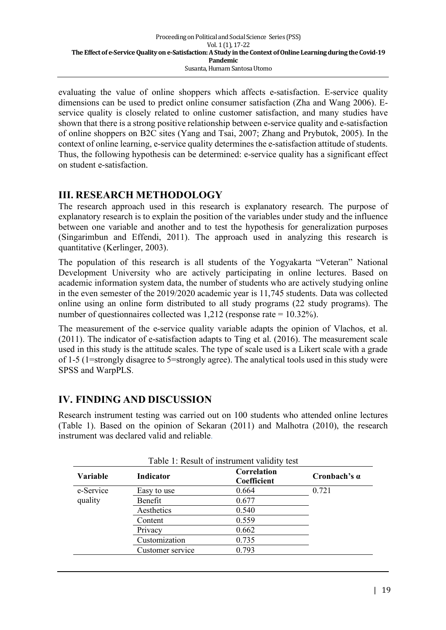evaluating the value of online shoppers which affects e-satisfaction. E-service quality dimensions can be used to predict online consumer satisfaction (Zha and Wang 2006). Eservice quality is closely related to online customer satisfaction, and many studies have shown that there is a strong positive relationship between e-service quality and e-satisfaction of online shoppers on B2C sites (Yang and Tsai, 2007; Zhang and Prybutok, 2005). In the context of online learning, e-service quality determines the e-satisfaction attitude of students. Thus, the following hypothesis can be determined: e-service quality has a significant effect on student e-satisfaction.

## **III. RESEARCH METHODOLOGY**

The research approach used in this research is explanatory research. The purpose of explanatory research is to explain the position of the variables under study and the influence between one variable and another and to test the hypothesis for generalization purposes (Singarimbun and Effendi, 2011). The approach used in analyzing this research is quantitative (Kerlinger, 2003).

The population of this research is all students of the Yogyakarta "Veteran" National Development University who are actively participating in online lectures. Based on academic information system data, the number of students who are actively studying online in the even semester of the 2019/2020 academic year is 11,745 students. Data was collected online using an online form distributed to all study programs (22 study programs). The number of questionnaires collected was 1,212 (response rate = 10.32%).

The measurement of the e-service quality variable adapts the opinion of Vlachos, et al. (2011). The indicator of e-satisfaction adapts to Ting et al. (2016). The measurement scale used in this study is the attitude scales. The type of scale used is a Likert scale with a grade of 1-5 (1=strongly disagree to 5=strongly agree). The analytical tools used in this study were SPSS and WarpPLS.

## **IV. FINDING AND DISCUSSION**

Research instrument testing was carried out on 100 students who attended online lectures (Table 1). Based on the opinion of Sekaran (2011) and Malhotra (2010), the research instrument was declared valid and reliable.

| <b>Variable</b>      | Indicator        | Correlation<br>Coefficient | Cronbach's $\alpha$ |  |
|----------------------|------------------|----------------------------|---------------------|--|
| e-Service<br>quality | Easy to use      | 0.664                      | 0.721               |  |
|                      | Benefit          | 0.677                      |                     |  |
|                      | Aesthetics       | 0.540                      |                     |  |
|                      | Content          | 0.559                      |                     |  |
|                      | Privacy          | 0.662                      |                     |  |
|                      | Customization    | 0.735                      |                     |  |
|                      | Customer service | 0.793                      |                     |  |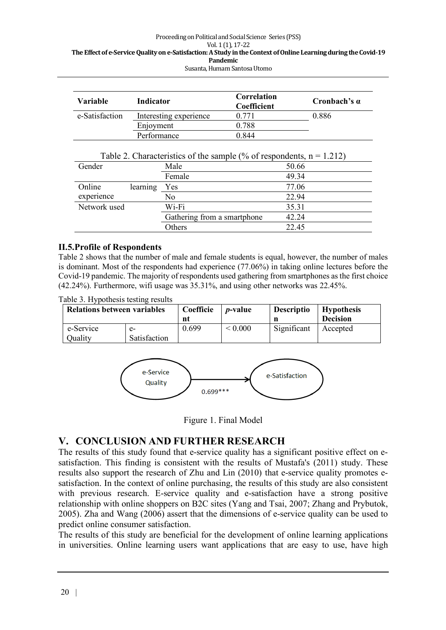| Variable       | Indicator              | Correlation<br><b>Coefficient</b> | Cronbach's $\alpha$ |  |
|----------------|------------------------|-----------------------------------|---------------------|--|
| e-Satisfaction | Interesting experience | 0.771                             | 0.886               |  |
|                | Enjoyment              | 0.788                             |                     |  |
|                | Performance            | 0 844                             |                     |  |

| Gender       |          | Male                        | 50.66 |
|--------------|----------|-----------------------------|-------|
|              |          | Female                      | 49.34 |
| Online       | learning | Yes                         | 77.06 |
| experience   |          | No                          | 22.94 |
| Network used |          | Wi-Fi                       | 35.31 |
|              |          | Gathering from a smartphone | 42.24 |
|              |          | Others                      | 22.45 |

#### **II.5.Profile of Respondents**

Table 2 shows that the number of male and female students is equal, however, the number of males is dominant. Most of the respondents had experience (77.06%) in taking online lectures before the Covid-19 pandemic. The majority of respondents used gathering from smartphones as the first choice (42.24%). Furthermore, wifi usage was 35.31%, and using other networks was 22.45%.

Table 3. Hypothesis testing results

| <b>Relations between variables</b> |                    | Coefficie<br>nt | <i>p</i> -value   | <b>Descriptio</b> | <b>Hypothesis</b><br><b>Decision</b> |
|------------------------------------|--------------------|-----------------|-------------------|-------------------|--------------------------------------|
| e-Service<br>Quality               | e-<br>Satisfaction | 0.699           | ${}_{\leq 0.000}$ | Significant       | Accepted                             |



Figure 1. Final Model

### **V. CONCLUSION AND FURTHER RESEARCH**

The results of this study found that e-service quality has a significant positive effect on esatisfaction. This finding is consistent with the results of Mustafa's (2011) study. These results also support the research of Zhu and Lin (2010) that e-service quality promotes esatisfaction. In the context of online purchasing, the results of this study are also consistent with previous research. E-service quality and e-satisfaction have a strong positive relationship with online shoppers on B2C sites (Yang and Tsai, 2007; Zhang and Prybutok, 2005). Zha and Wang (2006) assert that the dimensions of e-service quality can be used to predict online consumer satisfaction.

The results of this study are beneficial for the development of online learning applications in universities. Online learning users want applications that are easy to use, have high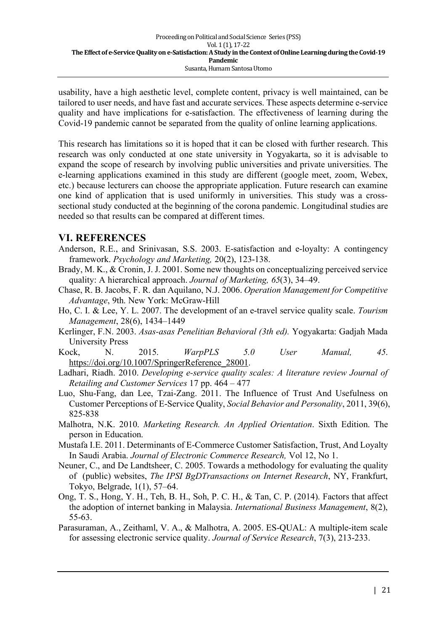usability, have a high aesthetic level, complete content, privacy is well maintained, can be tailored to user needs, and have fast and accurate services. These aspects determine e-service quality and have implications for e-satisfaction. The effectiveness of learning during the Covid-19 pandemic cannot be separated from the quality of online learning applications.

This research has limitations so it is hoped that it can be closed with further research. This research was only conducted at one state university in Yogyakarta, so it is advisable to expand the scope of research by involving public universities and private universities. The e-learning applications examined in this study are different (google meet, zoom, Webex, etc.) because lecturers can choose the appropriate application. Future research can examine one kind of application that is used uniformly in universities. This study was a crosssectional study conducted at the beginning of the corona pandemic. Longitudinal studies are needed so that results can be compared at different times.

### **VI. REFERENCES**

- Anderson, R.E., and Srinivasan, S.S. 2003. E-satisfaction and e-loyalty: A contingency framework. *Psychology and Marketing,* 20(2), 123-138.
- Brady, M. K., & Cronin, J. J. 2001. Some new thoughts on conceptualizing perceived service quality: A hierarchical approach. *Journal of Marketing, 65*(3), 34–49.

Chase, R. B. Jacobs, F. R. dan Aquilano, N.J. 2006. *Operation Management for Competitive Advantage*, 9th. New York: McGraw-Hill

- Ho, C. I. & Lee, Y. L. 2007. The development of an e-travel service quality scale. *Tourism Management*, 28(6), 1434–1449
- Kerlinger, F.N. 2003. *Asas-asas Penelitian Behavioral (3th ed).* Yogyakarta: Gadjah Mada University Press
- Kock, N. 2015. *WarpPLS 5.0 User Manual, 45*. https://doi.org/10.1007/SpringerReference\_28001.
- Ladhari, Riadh. 2010. *Developing e-service quality scales: A literature review Journal of Retailing and Customer Services* 17 pp. 464 – 477
- Luo, Shu-Fang, dan Lee, Tzai-Zang. 2011. The Influence of Trust And Usefulness on Customer Perceptions of E-Service Quality, *Social Behavior and Personality*, 2011, 39(6), 825-838
- Malhotra, N.K. 2010. *Marketing Research. An Applied Orientation*. Sixth Edition. The person in Education.
- Mustafa I.E. 2011. Determinants of E-Commerce Customer Satisfaction, Trust, And Loyalty In Saudi Arabia. *Journal of Electronic Commerce Research,* Vol 12, No 1.
- Neuner, C., and De Landtsheer, C. 2005. Towards a methodology for evaluating the quality of (public) websites, *The IPSI BgDTransactions on Internet Research*, NY, Frankfurt, Tokyo, Belgrade, 1(1), 57–64.
- Ong, T. S., Hong, Y. H., Teh, B. H., Soh, P. C. H., & Tan, C. P. (2014). Factors that affect the adoption of internet banking in Malaysia. *International Business Management*, 8(2), 55-63.
- Parasuraman, A., Zeithaml, V. A., & Malhotra, A. 2005. ES-QUAL: A multiple-item scale for assessing electronic service quality. *Journal of Service Research*, 7(3), 213-233.